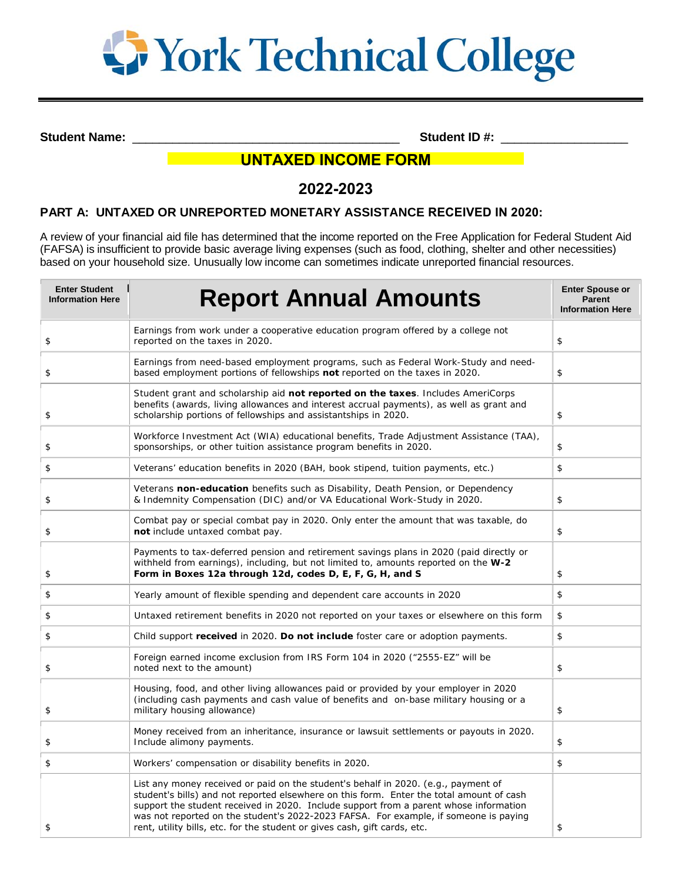

**Student Name:**  $\bullet$  **Student ID #:**  $\bullet$  **Student ID #:**  $\bullet$  **5tudent ID #:**  $\bullet$  **5tudent ID #:**  $\bullet$  **5tudent ID #:**  $\bullet$  **5tudent ID #:**  $\bullet$  **5tudent ID #:**  $\bullet$  **5tudent ID #:**  $\bullet$  **5tudent ID #:** 

# **UNTAXED INCOME FORM**

# **2022-2023**

## **PART A: UNTAXED OR UNREPORTED MONETARY ASSISTANCE RECEIVED IN 2020:**

A review of your financial aid file has determined that the income reported on the Free Application for Federal Student Aid (FAFSA) is insufficient to provide basic average living expenses (such as food, clothing, shelter and other necessities) based on your household size. Unusually low income can sometimes indicate unreported financial resources.

| <b>Enter Student</b><br><b>Information Here</b> | <b>Report Annual Amounts</b>                                                                                                                                                                                                                                                                                                                                                                                                                 | <b>Enter Spouse or</b><br><b>Parent</b><br><b>Information Here</b> |
|-------------------------------------------------|----------------------------------------------------------------------------------------------------------------------------------------------------------------------------------------------------------------------------------------------------------------------------------------------------------------------------------------------------------------------------------------------------------------------------------------------|--------------------------------------------------------------------|
| \$                                              | Earnings from work under a cooperative education program offered by a college not<br>reported on the taxes in 2020.                                                                                                                                                                                                                                                                                                                          | \$                                                                 |
| \$                                              | Earnings from need-based employment programs, such as Federal Work-Study and need-<br>based employment portions of fellowships not reported on the taxes in 2020.                                                                                                                                                                                                                                                                            | \$                                                                 |
| \$                                              | Student grant and scholarship aid not reported on the taxes. Includes AmeriCorps<br>benefits (awards, living allowances and interest accrual payments), as well as grant and<br>scholarship portions of fellowships and assistantships in 2020.                                                                                                                                                                                              | \$                                                                 |
| \$                                              | Workforce Investment Act (WIA) educational benefits, Trade Adjustment Assistance (TAA),<br>sponsorships, or other tuition assistance program benefits in 2020.                                                                                                                                                                                                                                                                               | \$                                                                 |
| \$                                              | Veterans' education benefits in 2020 (BAH, book stipend, tuition payments, etc.)                                                                                                                                                                                                                                                                                                                                                             | \$                                                                 |
| \$                                              | Veterans non-education benefits such as Disability, Death Pension, or Dependency<br>& Indemnity Compensation (DIC) and/or VA Educational Work-Study in 2020.                                                                                                                                                                                                                                                                                 | \$                                                                 |
| \$                                              | Combat pay or special combat pay in 2020. Only enter the amount that was taxable, do<br>not include untaxed combat pay.                                                                                                                                                                                                                                                                                                                      | \$                                                                 |
| \$                                              | Payments to tax-deferred pension and retirement savings plans in 2020 (paid directly or<br>withheld from earnings), including, but not limited to, amounts reported on the W-2<br>Form in Boxes 12a through 12d, codes D, E, F, G, H, and S                                                                                                                                                                                                  | \$                                                                 |
| \$                                              | Yearly amount of flexible spending and dependent care accounts in 2020                                                                                                                                                                                                                                                                                                                                                                       | \$                                                                 |
| \$                                              | Untaxed retirement benefits in 2020 not reported on your taxes or elsewhere on this form                                                                                                                                                                                                                                                                                                                                                     | \$                                                                 |
| \$                                              | Child support received in 2020. Do not include foster care or adoption payments.                                                                                                                                                                                                                                                                                                                                                             | $\,$                                                               |
| \$                                              | Foreign earned income exclusion from IRS Form 104 in 2020 ("2555-EZ" will be<br>noted next to the amount)                                                                                                                                                                                                                                                                                                                                    | \$                                                                 |
| \$                                              | Housing, food, and other living allowances paid or provided by your employer in 2020<br>(including cash payments and cash value of benefits and on-base military housing or a<br>military housing allowance)                                                                                                                                                                                                                                 | \$                                                                 |
| \$                                              | Money received from an inheritance, insurance or lawsuit settlements or payouts in 2020.<br>Include alimony payments.                                                                                                                                                                                                                                                                                                                        | \$                                                                 |
| \$                                              | Workers' compensation or disability benefits in 2020.                                                                                                                                                                                                                                                                                                                                                                                        | \$                                                                 |
| \$                                              | List any money received or paid on the student's behalf in 2020. (e.g., payment of<br>student's bills) and not reported elsewhere on this form. Enter the total amount of cash<br>support the student received in 2020. Include support from a parent whose information<br>was not reported on the student's 2022-2023 FAFSA. For example, if someone is paying<br>rent, utility bills, etc. for the student or gives cash, gift cards, etc. | \$                                                                 |